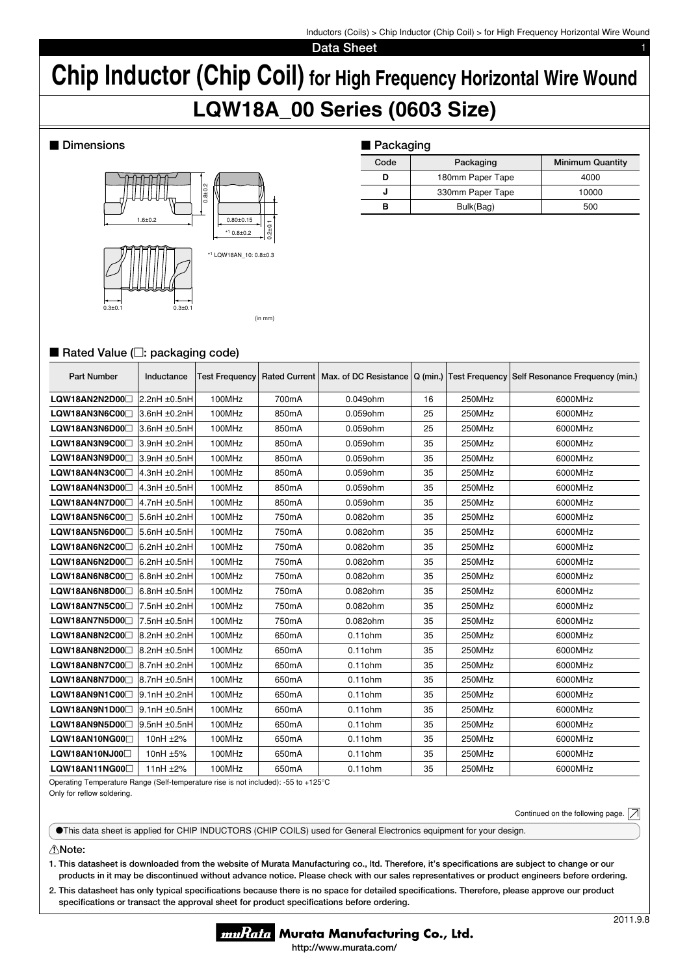Inductors (Coils) > Chip Inductor (Chip Coil) > for High Frequency Horizontal Wire Wound

**Data Sheet** 

# **Chip Inductor (Chip Coil) for High Frequency Horizontal Wire Wound LQW18A\_00 Series (0603 Size)**

## $\blacksquare$  Dimensions



| ■ Packaging |                  |                         |  |  |  |  |  |
|-------------|------------------|-------------------------|--|--|--|--|--|
| Code        | Packaging        | <b>Minimum Quantity</b> |  |  |  |  |  |
| D           | 180mm Paper Tape | 4000                    |  |  |  |  |  |
| J           | 330mm Paper Tape | 10000                   |  |  |  |  |  |
| в           | Bulk(Bag)        | 500                     |  |  |  |  |  |

# ■ Rated Value (□: packaging code)

| <b>Part Number</b>         | Inductance        | <b>Test Frequency</b> |                    |            |    |        | Rated Current Max. of DC Resistance   Q (min.)   Test Frequency   Self Resonance Frequency (min.) |
|----------------------------|-------------------|-----------------------|--------------------|------------|----|--------|---------------------------------------------------------------------------------------------------|
| LQW18AN2N2D00              | 2.2nH ±0.5nH      | 100MHz                | 700mA              | 0.049ohm   | 16 | 250MHz | 6000MHz                                                                                           |
| LQW18AN3N6C00              | 3.6nH ±0.2nH      | 100MHz                | 850mA              | 0.059ohm   | 25 | 250MHz | 6000MHz                                                                                           |
| LQW18AN3N6D00              | 3.6nH ±0.5nH      | 100MHz                | 850mA              | 0.059ohm   | 25 | 250MHz | 6000MHz                                                                                           |
| LQW18AN3N9C00              | 3.9nH ±0.2nH      | 100MHz                | 850mA              | 0.059ohm   | 35 | 250MHz | 6000MHz                                                                                           |
| LQW18AN3N9D00 <sup>1</sup> | 3.9nH ±0.5nH      | 100MHz                | 850 <sub>m</sub> A | 0.059ohm   | 35 | 250MHz | 6000MHz                                                                                           |
| LQW18AN4N3C00              | 4.3nH ±0.2nH      | 100MHz                | 850mA              | 0.059ohm   | 35 | 250MHz | 6000MHz                                                                                           |
| LQW18AN4N3D00              | $4.3nH \pm 0.5nH$ | 100MHz                | 850mA              | 0.059ohm   | 35 | 250MHz | 6000MHz                                                                                           |
| LQW18AN4N7D00              | 4.7nH ±0.5nH      | 100MHz                | 850mA              | 0.059ohm   | 35 | 250MHz | 6000MHz                                                                                           |
| LQW18AN5N6C00              | 5.6nH ±0.2nH      | 100MHz                | 750mA              | 0.082ohm   | 35 | 250MHz | 6000MHz                                                                                           |
| LQW18AN5N6D00              | 5.6nH ±0.5nH      | 100MHz                | 750mA              | 0.082ohm   | 35 | 250MHz | 6000MHz                                                                                           |
| LQW18AN6N2C00              | 6.2nH ±0.2nH      | 100MHz                | 750mA              | 0.082ohm   | 35 | 250MHz | 6000MHz                                                                                           |
| LQW18AN6N2D00              | 6.2nH ±0.5nH      | 100MHz                | 750mA              | 0.082ohm   | 35 | 250MHz | 6000MHz                                                                                           |
| LQW18AN6N8C00              | $6.8nH \pm 0.2nH$ | 100MHz                | 750mA              | 0.082ohm   | 35 | 250MHz | 6000MHz                                                                                           |
| LQW18AN6N8D00              | 6.8nH ±0.5nH      | 100MHz                | 750mA              | 0.082ohm   | 35 | 250MHz | 6000MHz                                                                                           |
| LQW18AN7N5C00              | 7.5nH ±0.2nH      | 100MHz                | 750mA              | 0.082ohm   | 35 | 250MHz | 6000MHz                                                                                           |
| LQW18AN7N5D00              | 7.5nH ±0.5nH      | 100MHz                | 750mA              | 0.082ohm   | 35 | 250MHz | 6000MHz                                                                                           |
| LQW18AN8N2C00              | 8.2nH ±0.2nH      | 100MHz                | 650mA              | $0.11$ ohm | 35 | 250MHz | 6000MHz                                                                                           |
| LQW18AN8N2D00              | 8.2nH ±0.5nH      | 100MHz                | 650mA              | $0.11$ ohm | 35 | 250MHz | 6000MHz                                                                                           |
| LQW18AN8N7C00              | 8.7nH ±0.2nH      | 100MHz                | 650mA              | $0.11$ ohm | 35 | 250MHz | 6000MHz                                                                                           |
| LQW18AN8N7D00              | 8.7nH ±0.5nH      | 100MHz                | 650mA              | $0.11$ ohm | 35 | 250MHz | 6000MHz                                                                                           |
| LQW18AN9N1C00              | 9.1nH ±0.2nH      | 100MHz                | 650mA              | $0.11$ ohm | 35 | 250MHz | 6000MHz                                                                                           |
| LQW18AN9N1D00              | $9.1nH \pm 0.5nH$ | 100MHz                | 650mA              | $0.11$ ohm | 35 | 250MHz | 6000MHz                                                                                           |
| LQW18AN9N5D00              | $9.5nH \pm 0.5nH$ | 100MHz                | 650mA              | $0.11$ ohm | 35 | 250MHz | 6000MHz                                                                                           |
| LQW18AN10NG00 <sup>1</sup> | 10nH ±2%          | 100MHz                | 650mA              | $0.11$ ohm | 35 | 250MHz | 6000MHz                                                                                           |
| LQW18AN10NJ00              | 10nH ±5%          | 100MHz                | 650mA              | $0.11$ ohm | 35 | 250MHz | 6000MHz                                                                                           |
| LQW18AN11NG00              | 11 $nH \pm 2\%$   | 100MHz                | 650mA              | $0.11$ ohm | 35 | 250MHz | 6000MHz                                                                                           |

Operating Temperature Range (Self-temperature rise is not included): -55 to +125°C Only for reflow soldering.

Continued on the following page.  $|\mathcal{A}|$ 

oThis data sheet is applied for CHIP INDUCTORS (CHIP COILS) used for General Electronics equipment for your design.

### !**Note:**

**1. This datasheet is downloaded from the website of Murata Manufacturing co., ltd. Therefore, it's specifi cations are subject to change or our products in it may be discontinued without advance notice. Please check with our sales representatives or product engineers before ordering.**

2. This datasheet has only typical specifications because there is no space for detailed specifications. Therefore, please approve our product specifications or transact the approval sheet for product specifications before ordering.

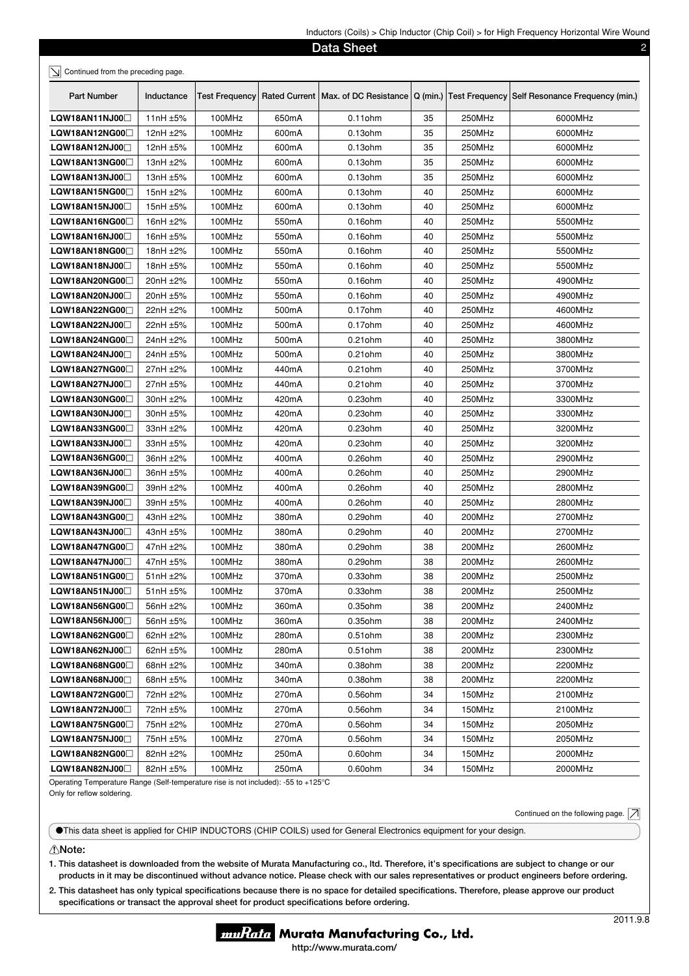| $m$ $\alpha$ $\alpha$ $\beta$ $\gamma$ $\alpha$ $\beta$ $\gamma$ $\alpha$ $\beta$ $\gamma$ $\alpha$ $\beta$ $\gamma$ $\beta$ $\gamma$ $\beta$ $\gamma$ $\alpha$ $\beta$ $\gamma$ $\gamma$ $\alpha$ $\gamma$<br>Data Sheet<br>2 |               |                       |                    |            |    |        |                                                                                                     |
|--------------------------------------------------------------------------------------------------------------------------------------------------------------------------------------------------------------------------------|---------------|-----------------------|--------------------|------------|----|--------|-----------------------------------------------------------------------------------------------------|
| $\leq$ Continued from the preceding page.                                                                                                                                                                                      |               |                       |                    |            |    |        |                                                                                                     |
| Part Number                                                                                                                                                                                                                    | Inductance    | <b>Test Frequency</b> |                    |            |    |        | Rated Current   Max. of DC Resistance   Q (min.)   Test Frequency   Self Resonance Frequency (min.) |
| LQW18AN11NJ00                                                                                                                                                                                                                  | 11nH $\pm$ 5% | 100MHz                | 650mA              | 0.11 ohm   | 35 | 250MHz | 6000MHz                                                                                             |
| LQW18AN12NG00□                                                                                                                                                                                                                 | 12nH $±2\%$   | 100MHz                | 600mA              | 0.13ohm    | 35 | 250MHz | 6000MHz                                                                                             |
| LQW18AN12NJ00                                                                                                                                                                                                                  | 12nH $\pm$ 5% | 100MHz                | 600mA              | 0.13ohm    | 35 | 250MHz | 6000MHz                                                                                             |
| LQW18AN13NG00□                                                                                                                                                                                                                 | 13nH $\pm$ 2% | 100MHz                | 600mA              | 0.13ohm    | 35 | 250MHz | 6000MHz                                                                                             |
| LQW18AN13NJ00                                                                                                                                                                                                                  | 13nH ±5%      | 100MHz                | 600mA              | $0.13$ ohm | 35 | 250MHz | 6000MHz                                                                                             |
| LQW18AN15NG00                                                                                                                                                                                                                  | 15nH ±2%      | 100MHz                | 600mA              | 0.13ohm    | 40 | 250MHz | 6000MHz                                                                                             |
| LQW18AN15NJ00⊡                                                                                                                                                                                                                 | 15nH ±5%      | 100MHz                | 600mA              | $0.13$ ohm | 40 | 250MHz | 6000MHz                                                                                             |
| LQW18AN16NG00□                                                                                                                                                                                                                 | 16nH $±2\%$   | 100MHz                | 550 <sub>m</sub> A | $0.16$ ohm | 40 | 250MHz | 5500MHz                                                                                             |
| LQW18AN16NJ00                                                                                                                                                                                                                  | 16nH ±5%      | 100MHz                | 550mA              | 0.16ohm    | 40 | 250MHz | 5500MHz                                                                                             |
| LQW18AN18NG00□                                                                                                                                                                                                                 | 18nH ±2%      | 100MHz                | 550 <sub>m</sub> A | 0.16ohm    | 40 | 250MHz | 5500MHz                                                                                             |
| LQW18AN18NJ00                                                                                                                                                                                                                  | 18nH ±5%      | 100MHz                | 550mA              | $0.16$ ohm | 40 | 250MHz | 5500MHz                                                                                             |
| LQW18AN20NG00⊟                                                                                                                                                                                                                 | 20nH ±2%      | 100MHz                | 550 <sub>m</sub> A | $0.16$ ohm | 40 | 250MHz | 4900MHz                                                                                             |
| LQW18AN20NJ00                                                                                                                                                                                                                  | 20nH ±5%      | 100MHz                | 550 <sub>m</sub> A | $0.16$ ohm | 40 | 250MHz | 4900MHz                                                                                             |
| LQW18AN22NG00⊡                                                                                                                                                                                                                 | 22nH ±2%      | 100MHz                | 500 <sub>m</sub> A | 0.17ohm    | 40 | 250MHz | 4600MHz                                                                                             |
| LQW18AN22NJ00                                                                                                                                                                                                                  | 22nH ±5%      | 100MHz                | 500 <sub>m</sub> A | $0.17$ ohm | 40 | 250MHz | 4600MHz                                                                                             |
| LQW18AN24NG00⊡                                                                                                                                                                                                                 | 24nH ±2%      | 100MHz                | 500 <sub>m</sub> A | $0.21$ ohm | 40 | 250MHz | 3800MHz                                                                                             |
| LQW18AN24NJ00                                                                                                                                                                                                                  | 24nH ±5%      | 100MHz                | 500 <sub>m</sub> A | $0.21$ ohm | 40 | 250MHz | 3800MHz                                                                                             |
| LQW18AN27NG00□                                                                                                                                                                                                                 | 27nH ±2%      | 100MHz                | 440mA              | $0.21$ ohm | 40 | 250MHz | 3700MHz                                                                                             |
| LQW18AN27NJ00□                                                                                                                                                                                                                 | 27nH ±5%      | 100MHz                | 440mA              | $0.21$ ohm | 40 | 250MHz | 3700MHz                                                                                             |
| LQW18AN30NG00⊟                                                                                                                                                                                                                 | 30nH ±2%      | 100MHz                | 420mA              | 0.23ohm    | 40 | 250MHz | 3300MHz                                                                                             |
| LQW18AN30NJ00                                                                                                                                                                                                                  | 30nH ±5%      | 100MHz                | 420mA              | $0.23$ ohm | 40 | 250MHz | 3300MHz                                                                                             |
| LQW18AN33NG00□                                                                                                                                                                                                                 | $33nH \pm 2%$ | 100MHz                | 420mA              | 0.23ohm    | 40 | 250MHz | 3200MHz                                                                                             |
| LQW18AN33NJ00□                                                                                                                                                                                                                 | $33nH \pm 5%$ | 100MHz                | 420mA              | 0.23ohm    | 40 | 250MHz | 3200MHz                                                                                             |
| LQW18AN36NG00⊟                                                                                                                                                                                                                 | 36nH ±2%      | 100MHz                | 400mA              | 0.26ohm    | 40 | 250MHz | 2900MHz                                                                                             |
| LQW18AN36NJ00□                                                                                                                                                                                                                 | 36nH ±5%      | 100MHz                | 400mA              | 0.26ohm    | 40 | 250MHz | 2900MHz                                                                                             |
| LQW18AN39NG00□                                                                                                                                                                                                                 | 39nH ±2%      | 100MHz                | 400mA              | 0.26ohm    | 40 | 250MHz | 2800MHz                                                                                             |
| LQW18AN39NJ00                                                                                                                                                                                                                  | 39nH ±5%      | 100MHz                | 400mA              | 0.26ohm    | 40 | 250MHz | 2800MHz                                                                                             |
| LQW18AN43NG00                                                                                                                                                                                                                  | 43nH ±2%      | 100MHz                | 380mA              | 0.29ohm    | 40 | 200MHz | 2700MHz                                                                                             |
| LQW18AN43NJ00                                                                                                                                                                                                                  | 43nH ±5%      | 100MHz                | 380mA              | 0.29ohm    | 40 | 200MHz | 2700MHz                                                                                             |
| LQW18AN47NG00                                                                                                                                                                                                                  | 47nH ±2%      | 100MHz                | 380 <sub>m</sub> A | 0.29ohm    | 38 | 200MHz | 2600MHz                                                                                             |
| LQW18AN47NJ00                                                                                                                                                                                                                  | 47nH ±5%      | 100MHz                | 380mA              | 0.29ohm    | 38 | 200MHz | 2600MHz                                                                                             |
| LQW18AN51NG00□                                                                                                                                                                                                                 | 51nH ±2%      | 100MHz                | 370mA              | 0.33ohm    | 38 | 200MHz | 2500MHz                                                                                             |
| LQW18AN51NJ00                                                                                                                                                                                                                  | 51nH ±5%      | 100MHz                | 370mA              | $0.33$ ohm | 38 | 200MHz | 2500MHz                                                                                             |
| LQW18AN56NG00                                                                                                                                                                                                                  | 56nH ±2%      | 100MHz                | 360mA              | 0.35ohm    | 38 | 200MHz | 2400MHz                                                                                             |
| LQW18AN56NJ00                                                                                                                                                                                                                  | 56nH ±5%      | 100MHz                | 360mA              | $0.35$ ohm | 38 | 200MHz | 2400MHz                                                                                             |
| LQW18AN62NG00                                                                                                                                                                                                                  | 62nH $±2%$    | 100MHz                | 280mA              | $0.51$ ohm | 38 | 200MHz | 2300MHz                                                                                             |
| LQW18AN62NJ00 <sup>1</sup>                                                                                                                                                                                                     | 62nH $\pm$ 5% | 100MHz                | 280mA              | $0.51$ ohm | 38 | 200MHz | 2300MHz                                                                                             |
| LQW18AN68NG00□                                                                                                                                                                                                                 | 68nH ±2%      | 100MHz                | 340mA              | 0.38ohm    | 38 | 200MHz | 2200MHz                                                                                             |
| LQW18AN68NJ00                                                                                                                                                                                                                  | 68nH $\pm$ 5% | 100MHz                | 340mA              | 0.38ohm    | 38 | 200MHz | 2200MHz                                                                                             |
| LQW18AN72NG00                                                                                                                                                                                                                  | 72nH ±2%      | 100MHz                | 270mA              | 0.56ohm    | 34 | 150MHz | 2100MHz                                                                                             |
| LQW18AN72NJ00□                                                                                                                                                                                                                 | 72nH ±5%      | 100MHz                | 270mA              | 0.56ohm    | 34 | 150MHz | 2100MHz                                                                                             |
| LQW18AN75NG00□                                                                                                                                                                                                                 | 75nH ±2%      | 100MHz                | 270mA              | 0.56ohm    | 34 | 150MHz | 2050MHz                                                                                             |
| LQW18AN75NJ00                                                                                                                                                                                                                  | 75nH ±5%      | 100MHz                | 270mA              | 0.56ohm    | 34 | 150MHz | 2050MHz                                                                                             |
| LQW18AN82NG00                                                                                                                                                                                                                  | 82nH ±2%      | 100MHz                | 250mA              | 0.60ohm    | 34 | 150MHz | 2000MHz                                                                                             |
| LQW18AN82NJ00                                                                                                                                                                                                                  | 82nH ±5%      | 100MHz                | 250mA              | 0.60ohm    | 34 | 150MHz | 2000MHz                                                                                             |

Operating Temperature Range (Self-temperature rise is not included): -55 to +125°C Only for reflow soldering.

Continued on the following page.  $\boxed{\nearrow}$ 

oThis data sheet is applied for CHIP INDUCTORS (CHIP COILS) used for General Electronics equipment for your design.

#### !**Note:**

**1. This datasheet is downloaded from the website of Murata Manufacturing co., ltd. Therefore, it's specifi cations are subject to change or our products in it may be discontinued without advance notice. Please check with our sales representatives or product engineers before ordering.**

2. This datasheet has only typical specifications because there is no space for detailed specifications. Therefore, please approve our product specifications or transact the approval sheet for product specifications before ordering.

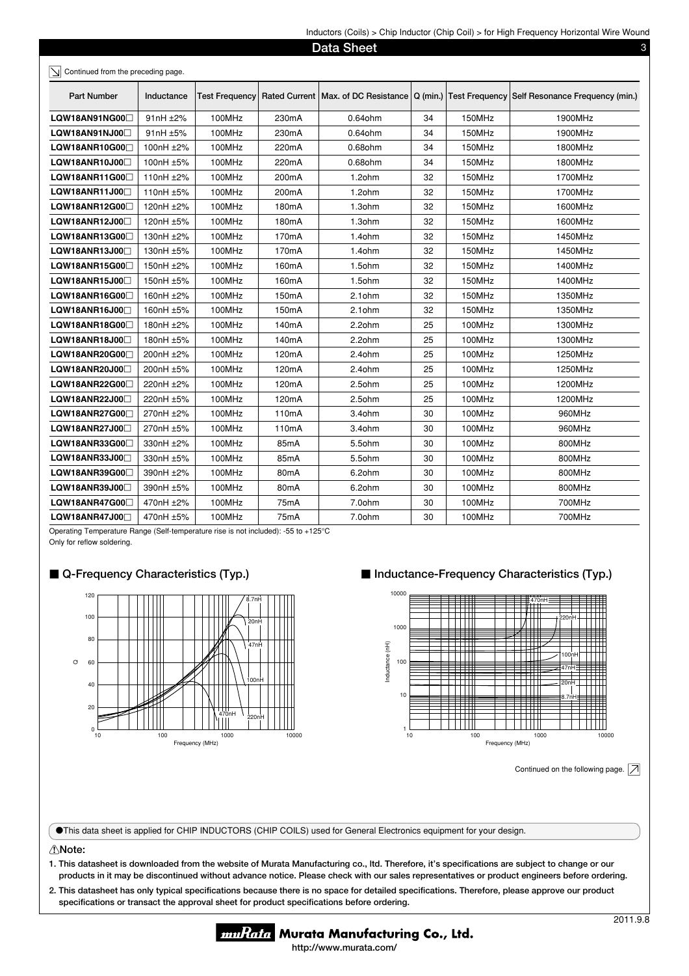| Data Sheet<br>3<br>Continued from the preceding page. |            |                       |                    |                                       |            |        |                                                |  |
|-------------------------------------------------------|------------|-----------------------|--------------------|---------------------------------------|------------|--------|------------------------------------------------|--|
| Part Number                                           | Inductance | <b>Test Frequency</b> |                    | Rated Current   Max. of DC Resistance | $Q$ (min.) |        | Test Frequency Self Resonance Frequency (min.) |  |
| LQW18AN91NG00                                         | 91nH ±2%   | 100MHz                | 230mA              | 0.64 ohm                              | 34         | 150MHz | 1900MHz                                        |  |
| LQW18AN91NJ00                                         | 91nH ±5%   | 100MHz                | 230mA              | 0.64ohm                               | 34         | 150MHz | 1900MHz                                        |  |
| LQW18ANR10G00                                         | 100nH ±2%  | 100MHz                | 220mA              | 0.68ohm                               | 34         | 150MHz | 1800MHz                                        |  |
| LQW18ANR10J000                                        | 100nH ±5%  | 100MHz                | 220mA              | 0.68ohm                               | 34         | 150MHz | 1800MHz                                        |  |
| LQW18ANR11G00                                         | 110nH ±2%  | 100MHz                | 200 <sub>m</sub> A | $1.2$ ohm                             | 32         | 150MHz | 1700MHz                                        |  |
| LQW18ANR11J000                                        | 110nH ±5%  | 100MHz                | 200mA              | 1.2ohm                                | 32         | 150MHz | 1700MHz                                        |  |
| LQW18ANR12G00                                         | 120nH ±2%  | 100MHz                | 180mA              | $1.3$ ohm                             | 32         | 150MHz | 1600MHz                                        |  |
| LQW18ANR12J00                                         | 120nH ±5%  | 100MHz                | 180mA              | $1.3$ ohm                             | 32         | 150MHz | 1600MHz                                        |  |
| LQW18ANR13G00                                         | 130nH ±2%  | 100MHz                | 170 <sub>m</sub> A | $1.4$ ohm                             | 32         | 150MHz | 1450MHz                                        |  |
| LQW18ANR13J00                                         | 130nH ±5%  | 100MHz                | 170mA              | 1.4ohm                                | 32         | 150MHz | 1450MHz                                        |  |
| LQW18ANR15G00                                         | 150nH ±2%  | 100MHz                | 160mA              | 1.5ohm                                | 32         | 150MHz | 1400MHz                                        |  |
| LQW18ANR15J00                                         | 150nH ±5%  | 100MHz                | 160mA              | 1.5ohm                                | 32         | 150MHz | 1400MHz                                        |  |
| LQW18ANR16G00                                         | 160nH ±2%  | 100MHz                | 150mA              | 2.1ohm                                | 32         | 150MHz | 1350MHz                                        |  |
| LQW18ANR16J00                                         | 160nH ±5%  | 100MHz                | 150mA              | 2.1ohm                                | 32         | 150MHz | 1350MHz                                        |  |
| LQW18ANR18G00                                         | 180nH ±2%  | 100MHz                | 140mA              | 2.2ohm                                | 25         | 100MHz | 1300MHz                                        |  |
| LQW18ANR18J00                                         | 180nH ±5%  | 100MHz                | 140 <sub>m</sub> A | 2.2ohm                                | 25         | 100MHz | 1300MHz                                        |  |
| LQW18ANR20G00                                         | 200nH ±2%  | 100MHz                | 120mA              | 2.4ohm                                | 25         | 100MHz | 1250MHz                                        |  |
| LQW18ANR20J000                                        | 200nH ±5%  | 100MHz                | 120mA              | 2.4ohm                                | 25         | 100MHz | 1250MHz                                        |  |
| LQW18ANR22G00 <sup>1</sup>                            | 220nH ±2%  | 100MHz                | 120mA              | 2.5ohm                                | 25         | 100MHz | 1200MHz                                        |  |
| LQW18ANR22J000                                        | 220nH ±5%  | 100MHz                | 120mA              | 2.5ohm                                | 25         | 100MHz | 1200MHz                                        |  |
| LQW18ANR27G00                                         | 270nH ±2%  | 100MHz                | 110 <sub>m</sub> A | 3.4ohm                                | 30         | 100MHz | 960MHz                                         |  |
| LQW18ANR27J00                                         | 270nH ±5%  | 100MHz                | 110mA              | 3.4ohm                                | 30         | 100MHz | 960MHz                                         |  |
| LQW18ANR33G00                                         | 330nH ±2%  | 100MHz                | 85 <sub>m</sub> A  | 5.5ohm                                | 30         | 100MHz | 800MHz                                         |  |
| LQW18ANR33J00                                         | 330nH ±5%  | 100MHz                | 85 <sub>m</sub> A  | 5.5ohm                                | 30         | 100MHz | 800MHz                                         |  |
| LQW18ANR39G00 <sup>1</sup>                            | 390nH ±2%  | 100MHz                | 80 <sub>m</sub> A  | 6.2ohm                                | 30         | 100MHz | 800MHz                                         |  |
| LQW18ANR39J00                                         | 390nH ±5%  | 100MHz                | 80 <sub>m</sub> A  | 6.2ohm                                | 30         | 100MHz | 800MHz                                         |  |
| LQW18ANR47G00                                         | 470nH ±2%  | 100MHz                | 75mA               | 7.0ohm                                | 30         | 100MHz | 700MHz                                         |  |
| LQW18ANR47J00                                         | 470nH ±5%  | 100MHz                | 75mA               | 7.0ohm                                | 30         | 100MHz | 700MHz                                         |  |

Operating Temperature Range (Self-temperature rise is not included): -55 to +125°C

Only for reflow soldering.

# ■ Q-Frequency Characteristics (Typ.)



# ■ Inductance-Frequency Characteristics (Typ.)



Continued on the following page.  $\boxed{\nearrow}$ 

oThis data sheet is applied for CHIP INDUCTORS (CHIP COILS) used for General Electronics equipment for your design.

#### !**Note:**

- **1. This datasheet is downloaded from the website of Murata Manufacturing co., ltd. Therefore, it's specifi cations are subject to change or our products in it may be discontinued without advance notice. Please check with our sales representatives or product engineers before ordering.**
- 2. This datasheet has only typical specifications because there is no space for detailed specifications. Therefore, please approve our product specifications or transact the approval sheet for product specifications before ordering.